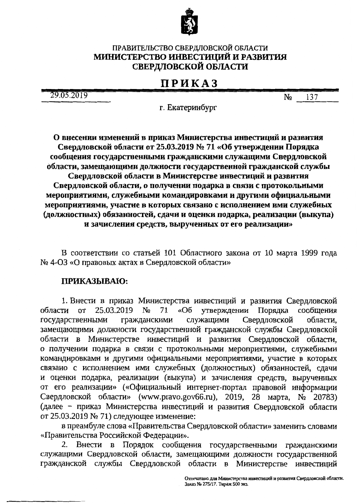

## ПРАВИТЕЛЬСТВО СВЕРДЛОВСКОЙ ОБЛАСТИ МИНИСТЕРСТВО ИНВЕСТИЦИЙ И РАЗВИТИЯ СВЕРДЛОВСКОЙ ОБЛАСТИ

## **ПРИКАЗ**

29.05.2019

137  $N<sub>2</sub>$ 

г. Екатеринбург

О внесении изменений в приказ Министерства инвестиций и развития Свердловской области от 25.03.2019 № 71 «Об утверждении Порядка сообщения государственными гражданскими служащими Свердловской области, замещающими должности государственной гражданской службы

Свердловской области в Министерстве инвестиций и развития Свердловской области, о получении подарка в связи с протокольными мероприятиями, служебными командировками и другими официальными мероприятиями, участие в которых связано с исполнением ими служебных (должностных) обязанностей, сдачи и оценки подарка, реализации (выкупа) и зачисления средств, вырученных от его реализации»

В соответствии со статьей 101 Областного закона от 10 марта 1999 года № 4-ОЗ «О правовых актах в Свердловской области»

## ПРИКАЗЫВАЮ:

1. Внести в приказ Министерства инвестиций и развития Свердловской области **OT** 25.03.2019  $N<sub>o</sub>$ 71 «Об утверждении Порядка сообщения Свердловской государственными гражданскими служащими области. замещающими должности государственной гражданской службы Свердловской области в Министерстве инвестиций и развития Свердловской области, о получении подарка в связи с протокольными мероприятиями, служебными командировками и другими официальными мероприятиями, участие в которых связано с исполнением ими служебных (должностных) обязанностей, сдачи и оценки подарка, реализации (выкупа) и зачисления средств, вырученных от его реализации» («Официальный интернет-портал правовой информации Свердловской области» (www.pravo.gov66.ru), 2019, 28 марта, № 20783) (далее - приказ Министерства инвестиций и развития Свердловской области от 25.03.2019 № 71) следующее изменение:

в преамбуле слова «Правительства Свердловской области» заменить словами «Правительства Российской Федерации».

Внести в Порядок сообщения государственными 2. гражданскими служащими Свердловской области, замещающими должности государственной гражданской службы Свердловской области в Министерстве инвестиций